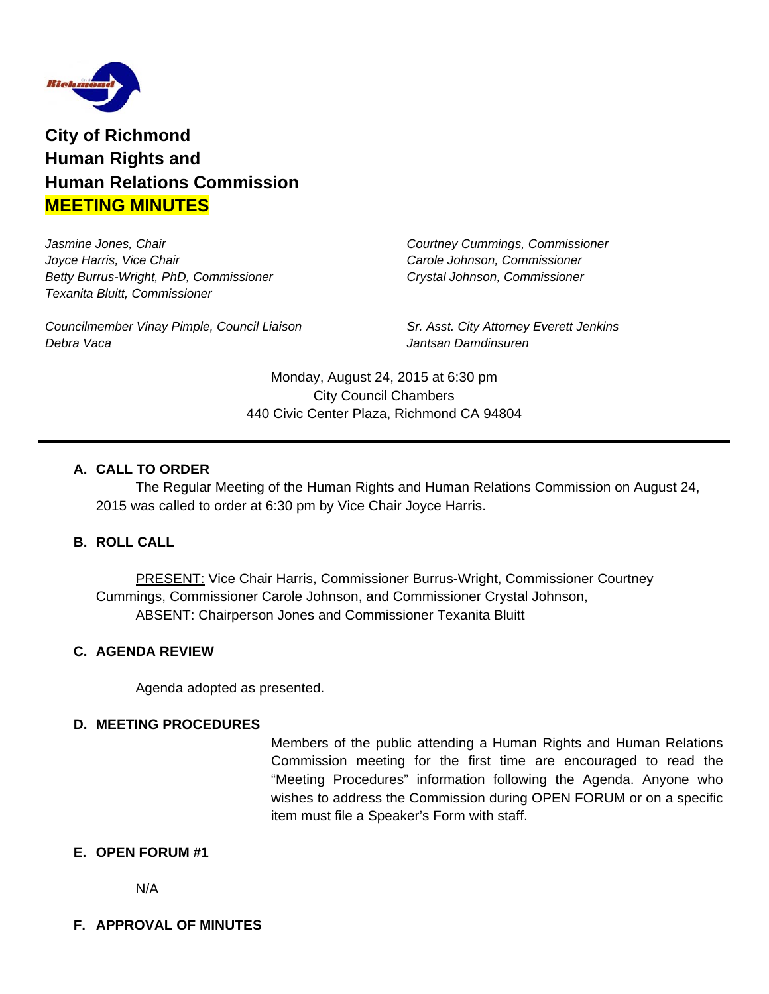

**City of Richmond Human Rights and Human Relations Commission MEETING MINUTES**

*Jasmine Jones, Chair Courtney Cummings, Commissioner Joyce Harris, Vice Chair Carole Johnson, Commissioner Betty Burrus-Wright, PhD, Commissioner Crystal Johnson, Commissioner Texanita Bluitt, Commissioner*

*Councilmember Vinay Pimple, Council Liaison Sr. Asst. City Attorney Everett Jenkins Debra Vaca Jantsan Damdinsuren*

Monday, August 24, 2015 at 6:30 pm City Council Chambers 440 Civic Center Plaza, Richmond CA 94804

## **A. CALL TO ORDER**

The Regular Meeting of the Human Rights and Human Relations Commission on August 24, 2015 was called to order at 6:30 pm by Vice Chair Joyce Harris.

# **B. ROLL CALL**

**PRESENT: Vice Chair Harris, Commissioner Burrus-Wright, Commissioner Courtney** Cummings, Commissioner Carole Johnson, and Commissioner Crystal Johnson, **ABSENT: Chairperson Jones and Commissioner Texanita Bluitt** 

#### **C. AGENDA REVIEW**

Agenda adopted as presented.

#### **D. MEETING PROCEDURES**

Members of the public attending a Human Rights and Human Relations Commission meeting for the first time are encouraged to read the "Meeting Procedures" information following the Agenda. Anyone who wishes to address the Commission during OPEN FORUM or on a specific item must file a Speaker's Form with staff.

#### **E. OPEN FORUM #1**

N/A

#### **F. APPROVAL OF MINUTES**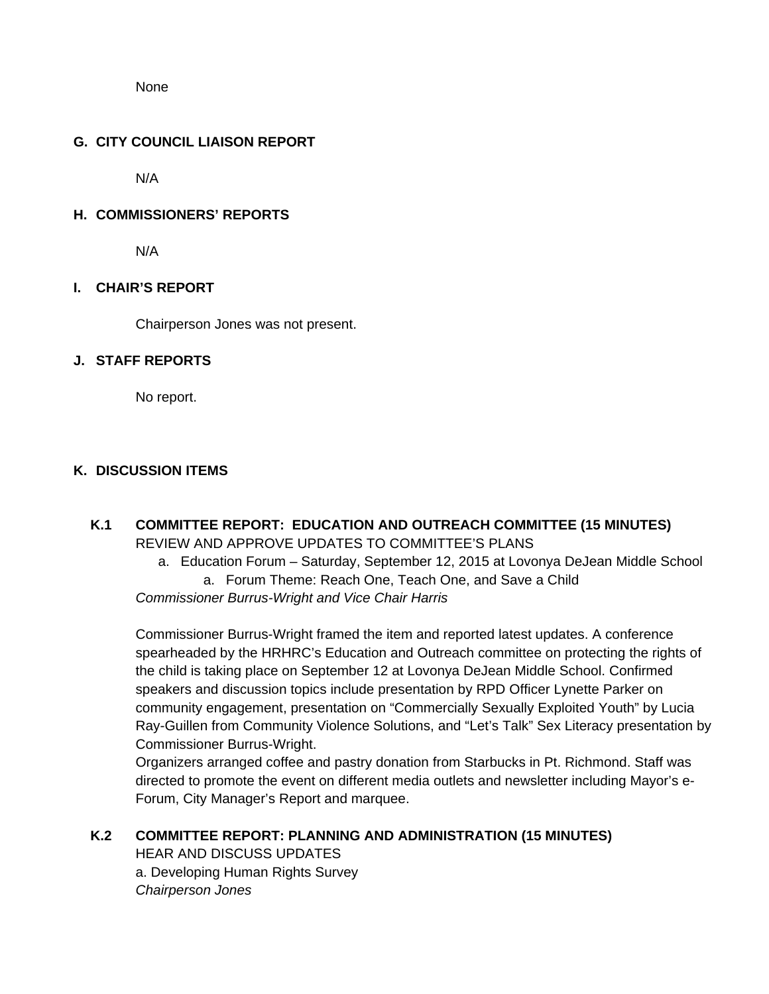**None** 

#### **G. CITY COUNCIL LIAISON REPORT**

N/A

#### **H. COMMISSIONERS' REPORTS**

N/A

#### **I. CHAIR'S REPORT**

Chairperson Jones was not present.

#### **J. STAFF REPORTS**

No report.

#### **K. DISCUSSION ITEMS**

- **K.1 COMMITTEE REPORT: EDUCATION AND OUTREACH COMMITTEE (15 MINUTES)**  REVIEW AND APPROVE UPDATES TO COMMITTEE'S PLANS
	- a. Education Forum Saturday, September 12, 2015 at Lovonya DeJean Middle School a. Forum Theme: Reach One, Teach One, and Save a Child

*Commissioner Burrus-Wright and Vice Chair Harris* 

Commissioner Burrus-Wright framed the item and reported latest updates. A conference spearheaded by the HRHRC's Education and Outreach committee on protecting the rights of the child is taking place on September 12 at Lovonya DeJean Middle School. Confirmed speakers and discussion topics include presentation by RPD Officer Lynette Parker on community engagement, presentation on "Commercially Sexually Exploited Youth" by Lucia Ray-Guillen from Community Violence Solutions, and "Let's Talk" Sex Literacy presentation by Commissioner Burrus-Wright.

Organizers arranged coffee and pastry donation from Starbucks in Pt. Richmond. Staff was directed to promote the event on different media outlets and newsletter including Mayor's e-Forum, City Manager's Report and marquee.

#### **K.2 COMMITTEE REPORT: PLANNING AND ADMINISTRATION (15 MINUTES)**

**HEAR AND DISCUSS UPDATES**  a. Developing Human Rights Survey  *Chairperson Jones*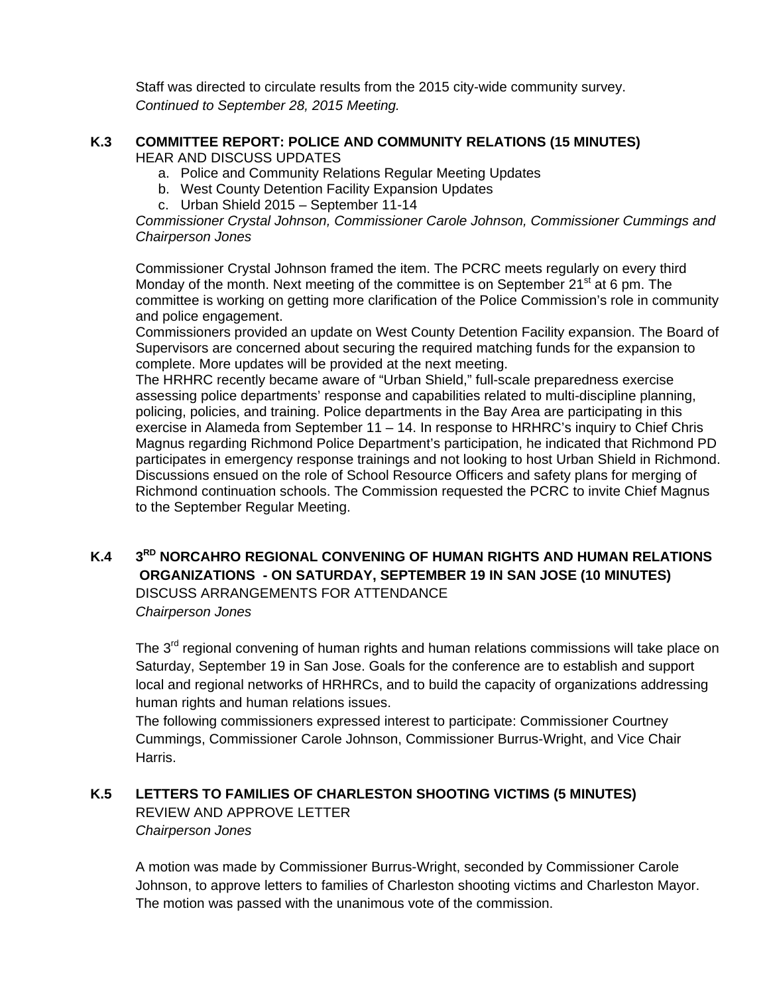Staff was directed to circulate results from the 2015 city-wide community survey.  *Continued to September 28, 2015 Meeting.* 

#### **K.3 COMMITTEE REPORT: POLICE AND COMMUNITY RELATIONS (15 MINUTES) HEAR AND DISCUSS UPDATES**

- a. Police and Community Relations Regular Meeting Updates
- b. West County Detention Facility Expansion Updates
- c. Urban Shield 2015 September 11-14

*Commissioner Crystal Johnson, Commissioner Carole Johnson, Commissioner Cummings and Chairperson Jones* 

Commissioner Crystal Johnson framed the item. The PCRC meets regularly on every third Monday of the month. Next meeting of the committee is on September  $21^{st}$  at 6 pm. The committee is working on getting more clarification of the Police Commission's role in community and police engagement.

Commissioners provided an update on West County Detention Facility expansion. The Board of Supervisors are concerned about securing the required matching funds for the expansion to complete. More updates will be provided at the next meeting.

The HRHRC recently became aware of "Urban Shield," full-scale preparedness exercise assessing police departments' response and capabilities related to multi-discipline planning, policing, policies, and training. Police departments in the Bay Area are participating in this exercise in Alameda from September 11 – 14. In response to HRHRC's inquiry to Chief Chris Magnus regarding Richmond Police Department's participation, he indicated that Richmond PD participates in emergency response trainings and not looking to host Urban Shield in Richmond. Discussions ensued on the role of School Resource Officers and safety plans for merging of Richmond continuation schools. The Commission requested the PCRC to invite Chief Magnus to the September Regular Meeting.

# **K.4 3RD NORCAHRO REGIONAL CONVENING OF HUMAN RIGHTS AND HUMAN RELATIONS ORGANIZATIONS - ON SATURDAY, SEPTEMBER 19 IN SAN JOSE (10 MINUTES)** DISCUSS ARRANGEMENTS FOR ATTENDANCE

*Chairperson Jones* 

The 3<sup>rd</sup> regional convening of human rights and human relations commissions will take place on Saturday, September 19 in San Jose. Goals for the conference are to establish and support local and regional networks of HRHRCs, and to build the capacity of organizations addressing human rights and human relations issues.

 The following commissioners expressed interest to participate: Commissioner Courtney Cummings, Commissioner Carole Johnson, Commissioner Burrus-Wright, and Vice Chair Harris.

# **K.5 LETTERS TO FAMILIES OF CHARLESTON SHOOTING VICTIMS (5 MINUTES)**

 REVIEW AND APPROVE LETTER  *Chairperson Jones* 

A motion was made by Commissioner Burrus-Wright, seconded by Commissioner Carole Johnson, to approve letters to families of Charleston shooting victims and Charleston Mayor. The motion was passed with the unanimous vote of the commission.